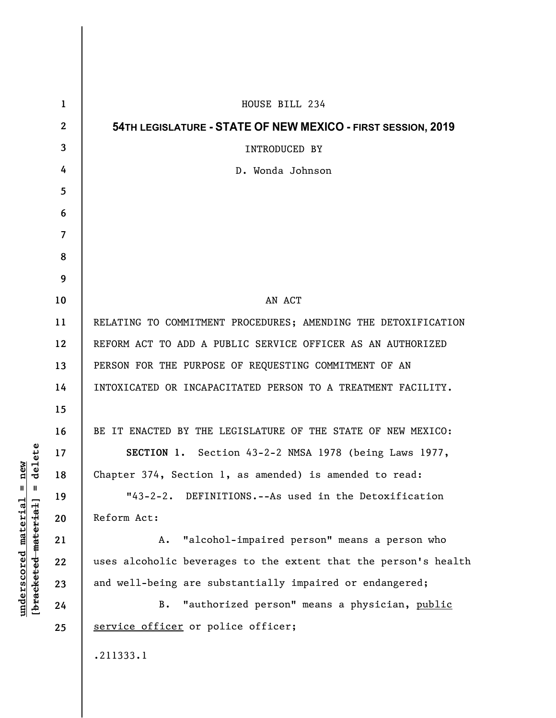| 1                        | HOUSE BILL 234                                                  |
|--------------------------|-----------------------------------------------------------------|
| $\boldsymbol{2}$         | 54TH LEGISLATURE - STATE OF NEW MEXICO - FIRST SESSION, 2019    |
| 3                        | <b>INTRODUCED BY</b>                                            |
| 4                        | D. Wonda Johnson                                                |
| 5                        |                                                                 |
| 6                        |                                                                 |
| $\overline{\mathcal{L}}$ |                                                                 |
| 8                        |                                                                 |
| 9                        |                                                                 |
| 10                       | AN ACT                                                          |
| 11                       | RELATING TO COMMITMENT PROCEDURES; AMENDING THE DETOXIFICATION  |
| 12                       | REFORM ACT TO ADD A PUBLIC SERVICE OFFICER AS AN AUTHORIZED     |
| 13                       | PERSON FOR THE PURPOSE OF REQUESTING COMMITMENT OF AN           |
| 14                       | INTOXICATED OR INCAPACITATED PERSON TO A TREATMENT FACILITY.    |
| 15                       |                                                                 |
| 16                       | BE IT ENACTED BY THE LEGISLATURE OF THE STATE OF NEW MEXICO:    |
| 17                       | SECTION 1. Section 43-2-2 NMSA 1978 (being Laws 1977,           |
| 18                       | Chapter 374, Section 1, as amended) is amended to read:         |
| 19                       | "43-2-2. DEFINITIONS.--As used in the Detoxification            |
| 20                       | Reform Act:                                                     |
| 21                       | "alcohol-impaired person" means a person who<br>Α.              |
| 22                       | uses alcoholic beverages to the extent that the person's health |
| 23                       | and well-being are substantially impaired or endangered;        |
| 24                       | "authorized person" means a physician, public<br>В.             |
| 25                       | service officer or police officer;                              |
|                          | .211333.1                                                       |

**underscored material = new [bracketed material] = delete**

 $[**bracket eted metert et**] = **del et e**$  $underscored material = new$ 

 $\overline{\phantom{a}}$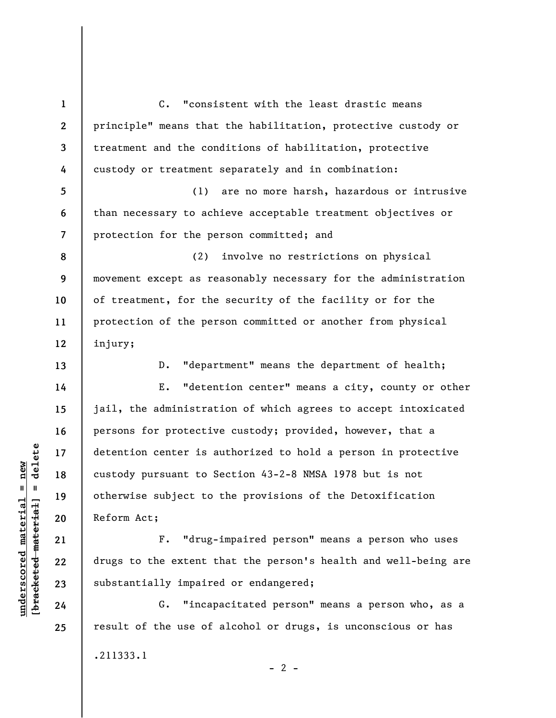**1 2 3 4**  C. "consistent with the least drastic means principle" means that the habilitation, protective custody or treatment and the conditions of habilitation, protective custody or treatment separately and in combination:

**5 6 7**  (1) are no more harsh, hazardous or intrusive than necessary to achieve acceptable treatment objectives or protection for the person committed; and

**9**  (2) involve no restrictions on physical movement except as reasonably necessary for the administration of treatment, for the security of the facility or for the protection of the person committed or another from physical injury;

**13** 

**8** 

**10** 

**11** 

**12** 

**14** 

**15** 

**16** 

**17** 

**18** 

**19** 

**20** 

**21** 

**22** 

**23** 

**24** 

**25** 

D. "department" means the department of health;

E. "detention center" means a city, county or other jail, the administration of which agrees to accept intoxicated persons for protective custody; provided, however, that a detention center is authorized to hold a person in protective custody pursuant to Section 43-2-8 NMSA 1978 but is not otherwise subject to the provisions of the Detoxification Reform Act;

F. "drug-impaired person" means a person who uses drugs to the extent that the person's health and well-being are substantially impaired or endangered;

G. "incapacitated person" means a person who, as a result of the use of alcohol or drugs, is unconscious or has .211333.1  $- 2 -$ 

 $b$ racketed material] = delete **[bracketed material] = delete**  $underscored material = new$ **underscored material = new**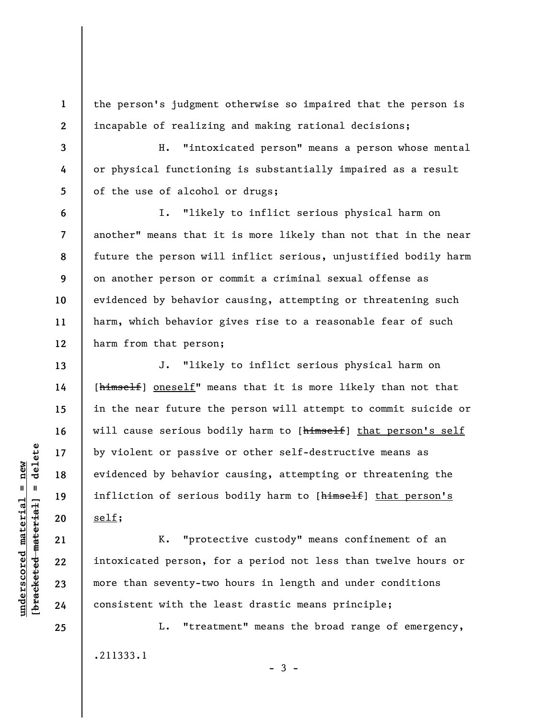the person's judgment otherwise so impaired that the person is incapable of realizing and making rational decisions;

H. "intoxicated person" means a person whose mental or physical functioning is substantially impaired as a result of the use of alcohol or drugs;

**6 7 8 9 10 11 12**  I. "likely to inflict serious physical harm on another" means that it is more likely than not that in the near future the person will inflict serious, unjustified bodily harm on another person or commit a criminal sexual offense as evidenced by behavior causing, attempting or threatening such harm, which behavior gives rise to a reasonable fear of such harm from that person;

J. "likely to inflict serious physical harm on [himself] oneself" means that it is more likely than not that in the near future the person will attempt to commit suicide or will cause serious bodily harm to [himself] that person's self by violent or passive or other self-destructive means as evidenced by behavior causing, attempting or threatening the infliction of serious bodily harm to [himself] that person's self;

K. "protective custody" means confinement of an intoxicated person, for a period not less than twelve hours or more than seventy-two hours in length and under conditions consistent with the least drastic means principle;

L. "treatment" means the broad range of emergency, .211333.1  $-3 -$ 

 $\frac{1}{2}$  of  $\frac{1}{2}$  and  $\frac{1}{2}$  and  $\frac{1}{2}$  and  $\frac{1}{2}$  and  $\frac{1}{2}$  and  $\frac{1}{2}$  and  $\frac{1}{2}$  and  $\frac{1}{2}$  and  $\frac{1}{2}$  and  $\frac{1}{2}$  and  $\frac{1}{2}$  and  $\frac{1}{2}$  and  $\frac{1}{2}$  and  $\frac{1}{2}$  and  $\frac{1}{2}$  an **[bracketed material] = delete**  $underscored material = new$ **underscored material = new**

**1** 

**2** 

**3** 

**4** 

**5** 

**13** 

**14** 

**15** 

**16** 

**17** 

**18** 

**19** 

**20** 

**21** 

**22** 

**23** 

**24** 

**25**